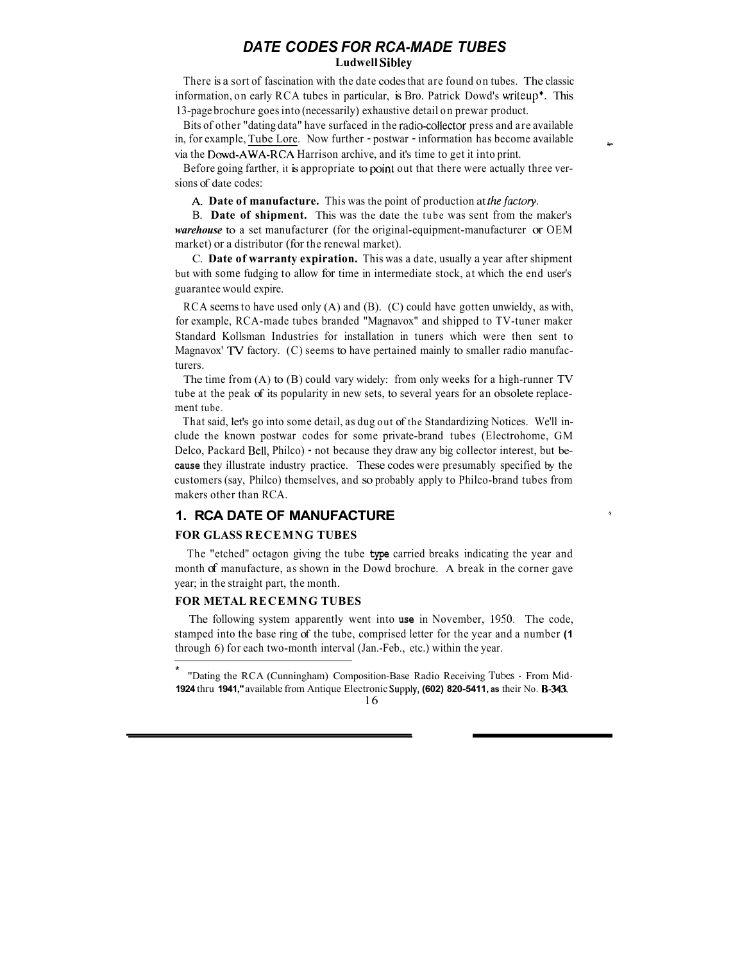# *DATE CODES FOR RCA-MADE TUBES* **Ludwell Sibley**

There is a sort of fascination with the date codes that are found on tubes. The classic information, on early RCA tubes in particular, is Bro. Patrick Dowd's writeup\*. This 13-page brochure goesinto (necessarily) exhaustive detail on prewar product.

Bits of other "dating data" have surfaced in the radio-collector press and are available in, for example, Tube Lore. Now further - postwar - information has become available **4** via the Dowd-AWA-RCA Harrison archive, and it's time to get it into print.

sions of date codes: Before going farther, it is appropriate to point out that there were actually three ver-

*k* **Date of manufacture.** This was the point of production at*fhefactory.*

B. **Date of shipment.** This was the date the tube was sent from the maker's *warehouse* to a set manufacturer (for the original-equipment-manufacturer or OEM market) or a distributor (for the renewal market).

C. **Date of warranty expiration.** This was a date, usually a year after shipment but with some fudging to allow for time in intermediate stock, at which the end user's guarantee would expire.

RCA seems to have used only  $(A)$  and  $(B)$ .  $(C)$  could have gotten unwieldy, as with, for example, RCA-made tubes branded "Magnavox" and shipped to TV-tuner maker Standard Kollsman Industries for installation in tuners which were then sent to Magnavox' **TV** factory. (C) seems to have pertained mainly to smaller radio manufacturers.

The time from (A) to (B) could vary widely: from only weeks for a high-runner TV tube at the peak of its popularity in new sets, to several years for an obsolete replacement tube.

That said, let's go into some detail, as dug out of the Standardizing Notices. We'll include the known postwar codes for some private-brand tubes (Electrohome, GM Delco, Packard Bell, Philco) - not because they draw any big collector interest, but be**cause** they illustrate industry practice. These codes were presumably specified by the customers (say, Philco) themselves, and so probably apply to Philco-brand tubes from makers other than RCA.

*1* 

### **1. RCA DATE OF MANUFACTURE**

#### **FOR GLASS RECEMNG TUBES**

The "etched" octagon giving the tube **type** carried breaks indicating the year and month of manufacture, as shown in the Dowd brochure. A break in the corner gave year; in the straight part, the month.

#### **FOR METAL RECEMNG TUBES**

The following system apparently went into **use** in November, **1950.** The code, stamped into the base ring of the tube, comprised letter for the year and a number **(1** through 6) for each two-month interval (Jan.-Feb., etc.) within the year.

<sup>\*</sup>  **1924** thru **1941,"**available from Antique Electronic **Supply, (602) 820-5411, as** their No. **8-343.** "Dating the RCA (Cunningham) Composition-Base Radio Receiving **Tubes** - From Mid-

<sup>16</sup>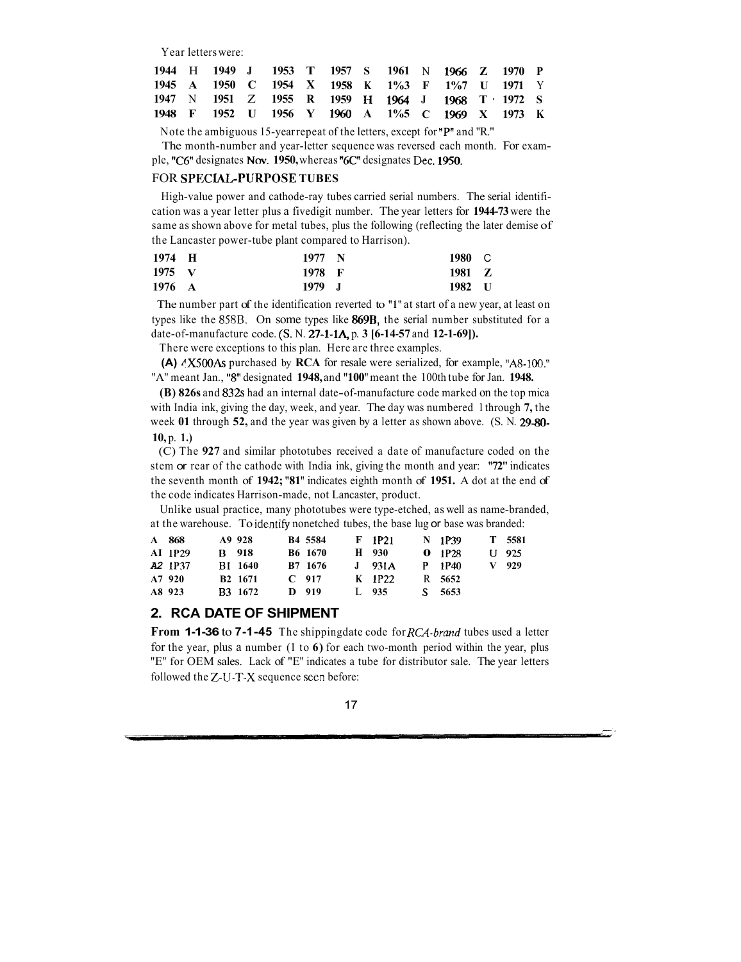Year letterswere:

|  |  | 1944 H 1949 J 1953 T 1957 S 1961 N 1966 Z 1970 P |  |  |  |  |  |
|--|--|--------------------------------------------------|--|--|--|--|--|
|  |  | 1945 A 1950 C 1954 X 1958 K 1%3 F 1%7 U 1971 Y   |  |  |  |  |  |
|  |  | 1947 N 1951 Z 1955 R 1959 H 1964 J 1968 T 1972 S |  |  |  |  |  |
|  |  | 1948 F 1952 U 1956 Y 1960 A 1%5 C 1969 X 1973 K  |  |  |  |  |  |

Note the ambiguous 15-yearrepeat of the letters, except for **"P"**and "R."

The month-number and year-letter sequence was reversed each month. For example, **"C6"**designates Nov. **1950,**whereas **"6C"**designates Dec. **1950.**

#### FOR **SPECIAGPURPOSE TUBES**

High-value power and cathode-ray tubes carried serial numbers. The serial identification was a year letter plus a fivedigit number. The year letters for **1944-73**were the same as shown above for metal tubes, plus the following (reflecting the later demise of the Lancaster power-tube plant compared to Harrison).

| 1974 H         | 1977 N | 1980 C |  |
|----------------|--------|--------|--|
| $1975 \quad V$ | 1978 F | 1981 Z |  |
| 1976 A         | 1979 J | 1982 U |  |

The number part of the identification reverted to **"1"** at start of a new year, at least on types like the 8S8B. On some types like **869B,** the serial number substituted for a date-of-manufacture code. **(S.** N. **27-1-1A,** p. **3 [6-14-57** and **12-1-69]).**

There were exceptions to this plan. Here are three examples.

**(A)**  $^4$ X500As purchased by **RCA** for resale were serialized, for example, "A8-100." "A" meant Jan., *"8"* designated **1948,**and **"100"** meant the 100th tube for Jan. **1948.**

**(B) 826s** and **832s** had an internal date-of-manufacture code marked on the top mica with India ink, giving the day, week, and year. The day was numbered 1through **7,** the week **01** through **52,** and the year was given by a letter as shown above. (S. N. **29-80- 10,** p. **1.)**

(C) The **927** and similar phototubes received a date of manufacture coded on the stem or rear of the cathode with India ink, giving the month and year: **"72"** indicates the seventh month of **1942; "81"** indicates eighth month of **1951.** A dot at the end of the code indicates Harrison-made, not Lancaster, product.

Unlike usual practice, many phototubes were type-etched, as well as name-branded, at the warehouse. To idcntify nonetched tubes, the base lug or base was branded:

| A 868                           | A9 928              | B4 5584             | F 1P21   | N 1P39 | T 5581  |
|---------------------------------|---------------------|---------------------|----------|--------|---------|
| <b>AI</b> 1P29                  | <b>B</b> 918        | B <sub>6</sub> 1670 | H 930    | 0.1P28 | U 925   |
| A <sub>2</sub> 1P <sub>37</sub> | <b>B1 1640</b>      | B7 1676             | $J$ 931A | P 1P40 | $V$ 929 |
| A7 920                          | B <sub>2</sub> 1671 | $C$ 917             | K 1P22   | R 5652 |         |
| A8 923                          | <b>B3</b> 1672      | D 919               | L $935$  | S 5653 |         |

## **2. RCA DATE OF SHIPMENT**

**From 1-1-36** to **7-1-45** The shippingdate code for *RG1-brand* tubes used a letter for the year, plus a number (1 to **6)** for each two-month period within the year, plus "E" for OEM sales. Lack of "E" indicates a tube for distributor sale. The year letters followed the Z-U-T-X sequence seen before: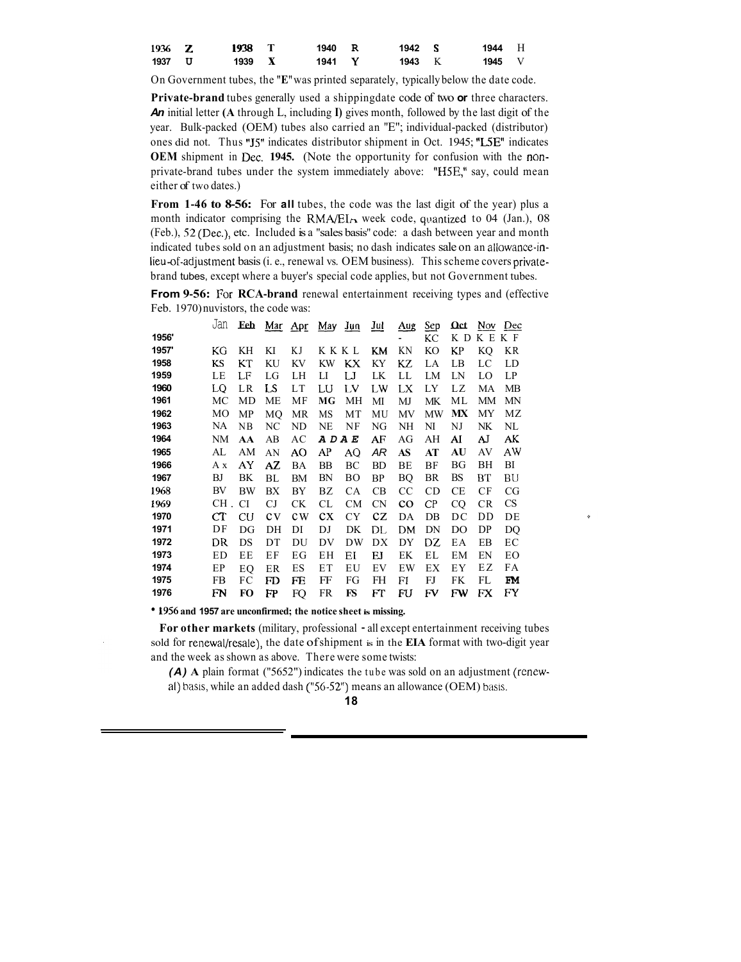| $1936 \quad Z$ | 1938 T | 1940 R | 1942 S | 1944 H        |  |
|----------------|--------|--------|--------|---------------|--|
| 1937 U         | 1939 X | 1941 Y | 1943 K | <b>1945</b> V |  |

On Government tubes, the **"E"** was printed separately, typically below the date code.

**Private-brand** tubes generally used a shippingdate code of two **or** three characters. *An* initial letter **(A** through L, including **I)** gives month, followed by the last digit of the year. Bulk-packed (OEM) tubes also carried an "E"; individual-packed (distributor) ones did not. Thus "J5" indicates distributor shipment in Oct. 1945; "L5E" indicates **OEM** shipment in Dec. **1945.** (Note the opportunity for confusion with the nonprivate-brand tubes under the system immediately above: "HSE," say, could mean either of two dates.)

**From 1-46 to 8-56:** For **all** tubes, the code was the last digit of the year) plus a month indicator comprising the RMA/EIA week code, quantized to 04 (Jan.), 08 (Feb.), *52* (Dec.), etc. Included is a "sales basis" code: a dash between year and month indicated tubes sold on an adjustment basis; no dash indicates sale on an allowance-inlieu-of-adjustment basis(i. e., renewal vs. OEM business). Thisscheme covers privatebrand tubes, except where a buyer's special code applies, but not Government tubes.

**From 9-56:** For **RCA-brand** renewal entertainment receiving types and (effective Feb. 1970) nuvistors, the code was:<br>
Jan Eeb <u>Mar Apr May Jun Jul Aug Sep Oct Nov Dec</u><br>
1956' LEER F Feb. 1970) nuvistors, the code was:

|       | Jan | Eeb |         | $\overline{\text{Mar}}$ Apr | May       | $Jun$         | <u>Jul</u> | $_{\text{Aug}}$ | <b>Sep</b>     | Ωct | Nov.      | Dec       |
|-------|-----|-----|---------|-----------------------------|-----------|---------------|------------|-----------------|----------------|-----|-----------|-----------|
| 1956' |     |     |         |                             |           |               |            |                 | KС             | K D | КE        | K F       |
| 1957' | КG  | KН  | KI      | ΚJ                          | KKKL      |               | KM         | ΚN              | KO             | KP  | KO        | KR        |
| 1958  | KS  | КT  | KU      | KV                          | <b>KW</b> | КX            | KY         | KZ              | LA             | LВ  | LC        | LD        |
| 1959  | LE  | LF  | LG      | LH                          | П         | IJ            | LK         | LL              | LM             | LN  | LO        | LP        |
| 1960  | LO  | LR  | LS      | LT                          | LU        | LV            | LW         | LX              | LY             | LZ  | МA        | <b>MB</b> |
| 1961  | МC  | MD  | МE      | MF                          | МG        | МH            | МІ         | MJ              | МK             | МL  | МM        | MN        |
| 1962  | МO  | MP  | MO      | <b>MR</b>                   | MS        | MT            | MU         | MV              | MW             | МX  | MY        | МZ        |
| 1963  | NA  | NB  | NC      | ND                          | NE        | NF            | NG         | NH              | NI             | NJ  | NK        | NL        |
| 1964  | NM  | AA  | AВ      | АC                          | ADAE      |               | AF         | AG              | AH             | AI  | AJ        | AK        |
| 1965  | AL  | AM  | AN      | AO                          | AP        | AQ            | AR         | AS              | AT             | AU  | AV        | AW        |
| 1966  | Аx  | AY  | AZ      | BA                          | BB        | ВC            | BD         | BE              | BF             | ΒG  | ВH        | BI        |
| 1967  | BJ  | BK  | BL      | <b>BM</b>                   | BN        | <sub>BO</sub> | BP         | BQ              | BR             | BS  | BТ        | BU        |
| 1968  | BV  | BW  | ВX      | BY                          | ΒZ        | <b>CA</b>     | CB         | <b>CC</b>       | <b>CD</b>      | СE  | CF        | CG        |
| 1969  | CH. | CI  | CJ      | <b>CK</b>                   | CL        | <b>CM</b>     | <b>CN</b>  | $_{\rm co}$     | C <sub>P</sub> | CQ  | <b>CR</b> | <b>CS</b> |
| 1970  | CT  | CU  | $c_{V}$ | $c_{W}$                     | cx        | <b>CY</b>     | $c_{Z}$    | DA              | $DB$           | DC  | DD        | DE        |
| 1971  | DF  | DG  | DH      | DI                          | DJ        | DK            | DL         | DM              | DN             | DO  | DP        | DQ        |
| 1972  | DR  | DS  | DT      | DU                          | DV        | DW            | DX         | DY              | DZ             | EΑ  | EB        | EС        |
| 1973  | ED  | EE  | ΕF      | ЕG                          | EН        | ΕI            | EJ         | EK              | EL             | EM  | EN        | EО        |
| 1974  | EP  | EO  | ER      | ES                          | EΤ        | EU            | EV         | EW              | EX             | ΕY  | ΕZ        | FA        |
| 1975  | FB  | FC  | FD      | FE                          | FF        | FG            | FH         | FI              | FJ             | FK  | FL        | FM        |
| 1976  | FN  | FO  | FP      | FQ                          | FR        | FS            | FT         | FU              | FV             | FW  | FX        | FY        |

**1956and 1957 are unconfirmed; the notice sheet is missing.**

**For other markets** (military, professional - all except entertainment receiving tubes sold for renewal/resale), the date of shipment is in the **EIA** format with two-digit year and the week as shown as above. There were some twists:

*(A)* **A** plain format ("5652") indicates the tube was sold on an adjustment (renewal) basis, while an added dash **('56-52")** means an allowance (OEM) basis.

### **18**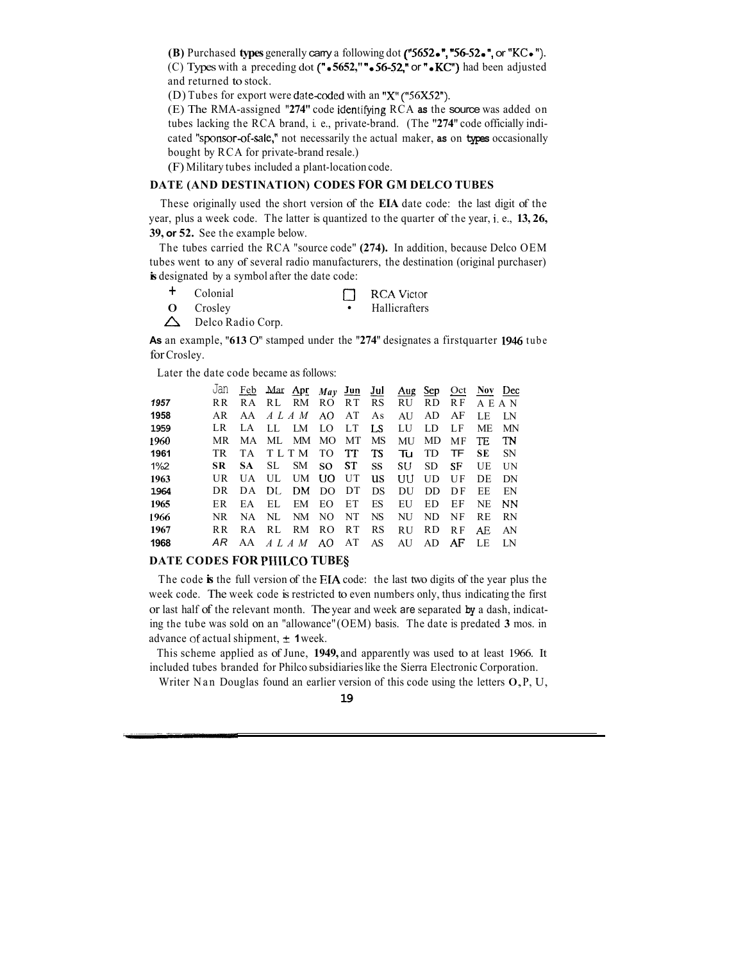**(B)** Purchased **types** generally carry a following dot **("5652.","56-52.",** or "KC."). (C) Types with a preceding dot *( " <sup>0</sup>* **5652," ".56-52,"** or "0 **KC")** had been adjusted and returned to stock.

(D) Tubes for export were date-coded with an "X" ("56X52").

(E) The RMA-assigned "274" code identifying RCA as the source was added on tubes lacking the RCA brand, i. e., private-brand. (The **"274"** code officially indicated "sponsor-of-sale," not necessarily the actual maker, **as** on **types** occasionally bought by RCA for private-brand resale.)

(F) Military tubes included a plant-location code.

### **DATE (AND DESTINATION) CODES FOR GM DELCO TUBES**

These originally used the short version of the **EIA** date code: the last digit of the year, plus a week code. The latter is quantized to the quarter of the year, i. e., **13, 26, 39, or 52.** See the example below.

The tubes carried the RCA "source code" **(274).** In addition, because Delco OEM tubes went to any of several radio manufacturers, the destination (original purchaser) **is** designated by a symbol after the date code:

- <sup>+</sup>Colonial *0* RCAVictor + Colonial DRCA Victor<br>O Crosley + Hallicrafters
	-
- $\triangle$  Delco Radio Corp.

**As** an example, **"613** *0'*stamped under the **"274"** designates a firstquarter **1946** tube for Crosley.

| As an example, $0.15 \cup 3$ stamped under the $274$ designates a mist quarter 1940<br>for Crosley. |     |     |      |                                               |                |                |           |           |           |           |            |           |
|-----------------------------------------------------------------------------------------------------|-----|-----|------|-----------------------------------------------|----------------|----------------|-----------|-----------|-----------|-----------|------------|-----------|
| Later the date code became as follows:                                                              |     |     |      |                                               |                |                |           |           |           |           |            |           |
|                                                                                                     | Jan |     |      | $\frac{\text{Feb}}{\text{Mar}}$ Mar Apr $May$ |                | $Jun$          | $Jul$     | Aug       | Sep       | $Oct$     | <b>Nov</b> | Dec       |
| 1957                                                                                                | R R | R A | RL.  | RM                                            | RO.            | RT.            | RS        | RU        | <b>RD</b> | R F       | A E        | A N       |
| 1958                                                                                                | AR  | AA  |      | ALAM                                          | AO.            | AT             | As        | AU        | AD        | AF        | LE         | LN        |
| 1959                                                                                                | LR  | LA. | LL.  | LM                                            | LO             | LT             | LS        | LU        | LD        | LF        | МE         | <b>MN</b> |
| 1960                                                                                                | MR. | MA  | МL   | МM                                            | M <sub>O</sub> | МT             | <b>MS</b> | <b>MU</b> | MD.       | MF        | TE         | TN        |
| 1961                                                                                                | TR  | T A |      | TLTM                                          | TO             | TT             | TS        | Tu        | TD        | TF        | SЕ         | <b>SN</b> |
| $1\%2$                                                                                              | SR  | SА  | SL   | <b>SM</b>                                     | SO.            | ST             | <b>SS</b> | SU        | <b>SD</b> | SF        | UE         | <b>UN</b> |
| 1963                                                                                                | UR  | UA  | UL.  | UM                                            | UО             | UT             | us        | UU        | UD        | UF        | DE         | DN        |
| 1964                                                                                                | DR  | DA  | DL   | DM                                            | DO             | DT             | DS        | DU        | DD        | DF        | ЕE         | EN        |
| 1965                                                                                                | ER. | EA  | EL.  | EM                                            | EО             | ET             | ES        | EU        | ED        | EF        | NE         | <b>NN</b> |
| 1966                                                                                                | NR. | NA. | NL   | NM                                            | N <sub>O</sub> | NT             | <b>NS</b> | NU        | ND.       | <b>NF</b> | RE         | <b>RN</b> |
| 1967                                                                                                | R R | RA  | RL   | RM                                            | RO.            | R <sub>T</sub> | <b>RS</b> | RU        | <b>RD</b> | <b>RF</b> | AE         | AN        |
| 1968                                                                                                | AR  | AA  | ALAM |                                               | AO.            | AT             | AS        | AU        | AD        | AF        | LE         | LN        |

## **DATE CODES FOR PIIILCO TUBE§**

The code **is** the full version of the EM code: the last two digits of the year plus the week code. The week code is restricted to even numbers only, thus indicating the first or last half of the relevant month. The year and week are separated **by** a dash, indicating the tube was sold on an "allowance" (OEM) basis. The date is predated **3** mos. in advance of actual shipment,  $\pm$  **1** week.

This scheme applied as of June, **1949,** and apparently was used to at least 1966. It included tubes branded for Philco subsidiarieslike the Sierra Electronic Corporation.

Writer Nan Douglas found an earlier version of this code using the letters  $O, P, U$ ,